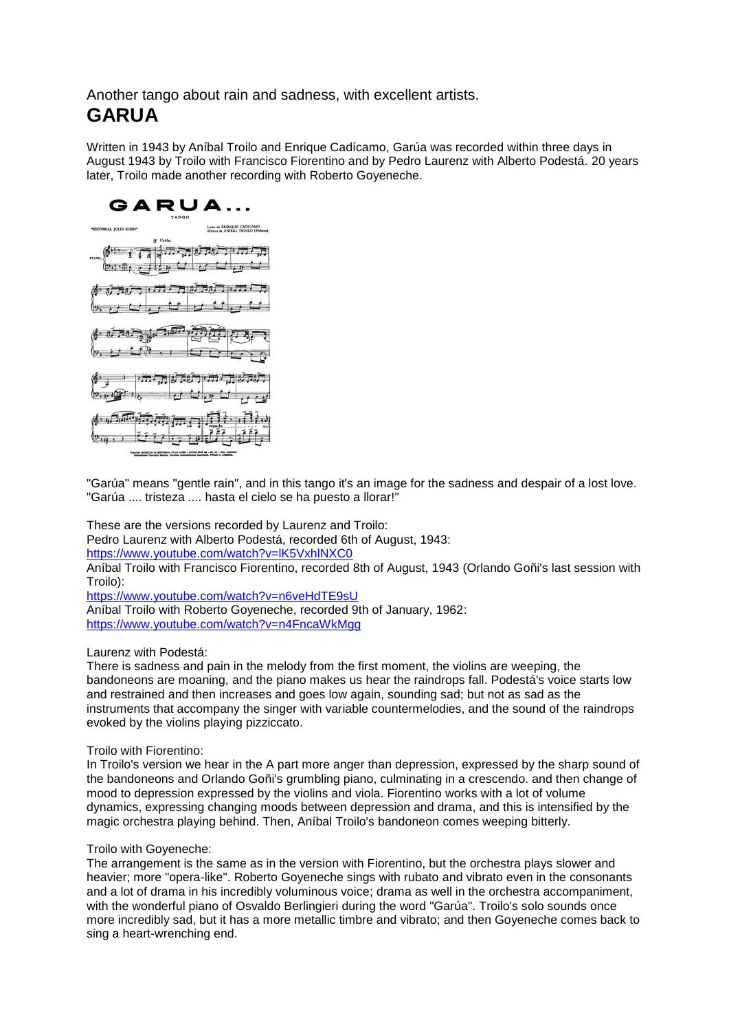Another tango about rain and sadness, with excellent artists. **GARUA**

Written in 1943 by Aníbal Troilo and Enrique Cadícamo, Garúa was recorded within three days in August 1943 by Troilo with Francisco Fiorentino and by Pedro Laurenz with Alberto Podestá. 20 years later, Troilo made another recording with Roberto Goyeneche.



"Garúa" means "gentle rain", and in this tango it's an image for the sadness and despair of a lost love. "Garúa .... tristeza .... hasta el cielo se ha puesto a llorar!"

These are the versions recorded by Laurenz and Troilo:

Pedro Laurenz with Alberto Podestá, recorded 6th of August, 1943:

<https://www.youtube.com/watch?v=lK5VxhlNXC0>

Aníbal Troilo with Francisco Fiorentino, recorded 8th of August, 1943 (Orlando Goñi's last session with Troilo):

<https://www.youtube.com/watch?v=n6veHdTE9sU>

Aníbal Troilo with Roberto Goyeneche, recorded 9th of January, 1962: <https://www.youtube.com/watch?v=n4FncaWkMgg>

Laurenz with Podestá:

There is sadness and pain in the melody from the first moment, the violins are weeping, the bandoneons are moaning, and the piano makes us hear the raindrops fall. Podestá's voice starts low and restrained and then increases and goes low again, sounding sad; but not as sad as the instruments that accompany the singer with variable countermelodies, and the sound of the raindrops evoked by the violins playing pizziccato.

Troilo with Fiorentino:

In Troilo's version we hear in the A part more anger than depression, expressed by the sharp sound of the bandoneons and Orlando Goñi's grumbling piano, culminating in a crescendo. and then change of mood to depression expressed by the violins and viola. Fiorentino works with a lot of volume dynamics, expressing changing moods between depression and drama, and this is intensified by the magic orchestra playing behind. Then, Aníbal Troilo's bandoneon comes weeping bitterly.

Troilo with Goyeneche:

The arrangement is the same as in the version with Fiorentino, but the orchestra plays slower and heavier; more "opera-like". Roberto Goyeneche sings with rubato and vibrato even in the consonants and a lot of drama in his incredibly voluminous voice; drama as well in the orchestra accompaniment, with the wonderful piano of Osvaldo Berlingieri during the word "Garúa". Troilo's solo sounds once more incredibly sad, but it has a more metallic timbre and vibrato; and then Goyeneche comes back to sing a heart-wrenching end.